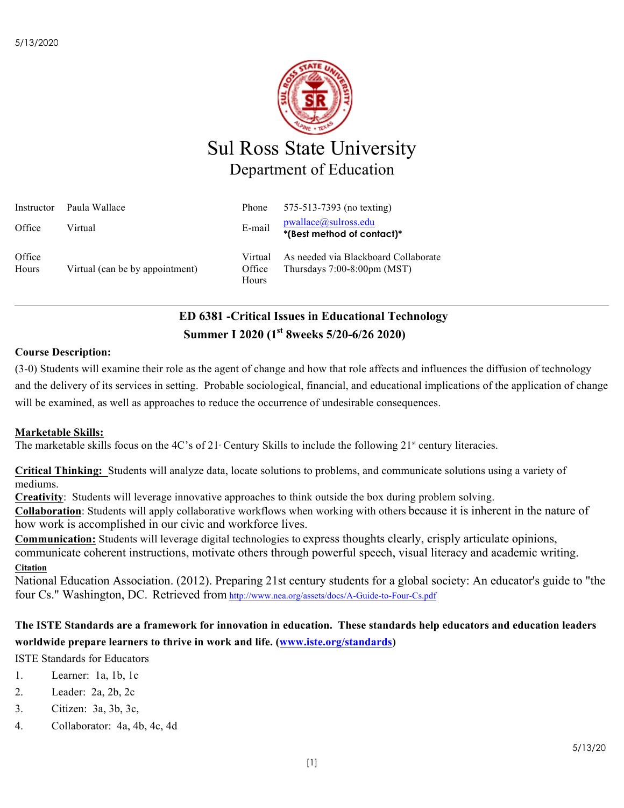

# Sul Ross State University Department of Education

| Instructor      | Paula Wallace                   | Phone                      | 575-513-7393 (no texting)                                                        |
|-----------------|---------------------------------|----------------------------|----------------------------------------------------------------------------------|
| Office          | Virtual                         | E-mail                     | pwallace@sulross.edu<br>*(Best method of contact)*                               |
| Office<br>Hours | Virtual (can be by appointment) | Virtual<br>Office<br>Hours | As needed via Blackboard Collaborate<br>Thursdays $7:00-8:00 \text{pm} \, (MST)$ |

## **ED 6381 -Critical Issues in Educational Technology Summer I 2020 (1st 8weeks 5/20-6/26 2020)**

## **Course Description:**

(3-0) Students will examine their role as the agent of change and how that role affects and influences the diffusion of technology and the delivery of its services in setting. Probable sociological, financial, and educational implications of the application of change will be examined, as well as approaches to reduce the occurrence of undesirable consequences.

### **Marketable Skills:**

The marketable skills focus on the 4C's of 21 Century Skills to include the following  $21^{\text{st}}$  century literacies.

**Critical Thinking:** Students will analyze data, locate solutions to problems, and communicate solutions using a variety of mediums.

**Creativity**: Students will leverage innovative approaches to think outside the box during problem solving.

**Collaboration**: Students will apply collaborative workflows when working with others because it is inherent in the nature of how work is accomplished in our civic and workforce lives.

**Communication:** Students will leverage digital technologies to express thoughts clearly, crisply articulate opinions, communicate coherent instructions, motivate others through powerful speech, visual literacy and academic writing. **Citation**

National Education Association. (2012). Preparing 21st century students for a global society: An educator's guide to "the four Cs." Washington, DC.  Retrieved from http://www.nea.org/assets/docs/A-Guide-to-Four-Cs.pdf

## **The ISTE Standards are a framework for innovation in education. These standards help educators and education leaders worldwide prepare learners to thrive in work and life. (www.iste.org/standards)**

ISTE Standards for Educators

- 1. Learner: 1a, 1b, 1c
- 2. Leader: 2a, 2b, 2c
- 3. Citizen: 3a, 3b, 3c,
- 4. Collaborator: 4a, 4b, 4c, 4d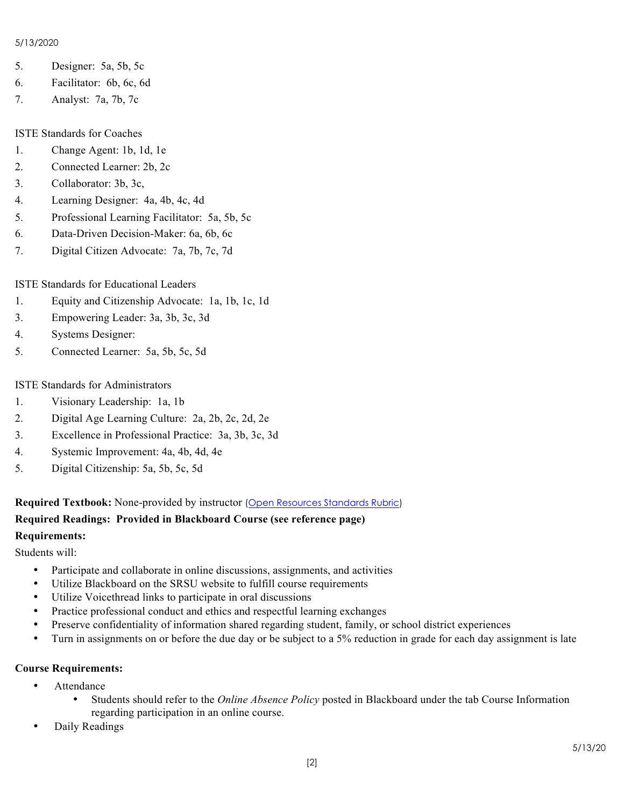#### 5/13/2020

- 5. Designer: 5a, 5b, 5c
- 6. Facilitator: 6b, 6c, 6d
- 7. Analyst: 7a, 7b, 7c

#### ISTE Standards for Coaches

- 1. Change Agent: 1b, 1d, 1e
- 2. Connected Learner: 2b, 2c
- 3. Collaborator: 3b, 3c,
- 4. Learning Designer: 4a, 4b, 4c, 4d
- 5. Professional Learning Facilitator: 5a, 5b, 5c
- 6. Data-Driven Decision-Maker: 6a, 6b, 6c
- 7. Digital Citizen Advocate: 7a, 7b, 7c, 7d

### ISTE Standards for Educational Leaders

- 1. Equity and Citizenship Advocate: 1a, 1b, 1c, 1d
- 3. Empowering Leader: 3a, 3b, 3c, 3d
- 4. Systems Designer:
- 5. Connected Learner: 5a, 5b, 5c, 5d

#### ISTE Standards for Administrators

- 1. Visionary Leadership: 1a, 1b
- 2. Digital Age Learning Culture: 2a, 2b, 2c, 2d, 2e
- 3. Excellence in Professional Practice: 3a, 3b, 3c, 3d
- 4. Systemic Improvement: 4a, 4b, 4d, 4e
- 5. Digital Citizenship: 5a, 5b, 5c, 5d

**Required Textbook:** None-provided by instructor (Open Resources Standards Rubric)

# **Required Readings: Provided in Blackboard Course (see reference page)**

## **Requirements:**

Students will:

- Participate and collaborate in online discussions, assignments, and activities
- Utilize Blackboard on the SRSU website to fulfill course requirements
- Utilize Voicethread links to participate in oral discussions
- Practice professional conduct and ethics and respectful learning exchanges
- Preserve confidentiality of information shared regarding student, family, or school district experiences
- Turn in assignments on or before the due day or be subject to a 5% reduction in grade for each day assignment is late

#### **Course Requirements:**

- Attendance
	- Students should refer to the *Online Absence Policy* posted in Blackboard under the tab Course Information regarding participation in an online course.
- Daily Readings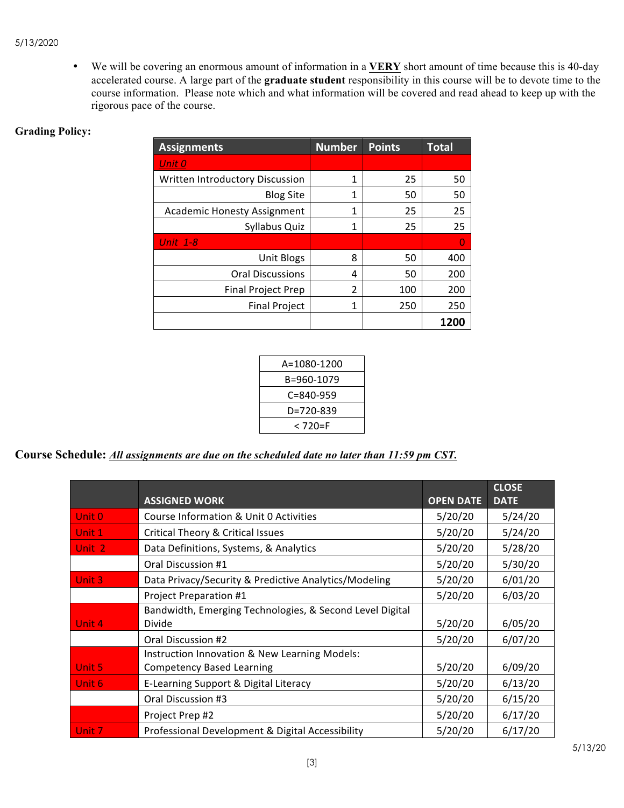• We will be covering an enormous amount of information in a **VERY** short amount of time because this is 40-day accelerated course. A large part of the **graduate student** responsibility in this course will be to devote time to the course information. Please note which and what information will be covered and read ahead to keep up with the rigorous pace of the course.

### **Grading Policy:**

| <b>Assignments</b>                 | <b>Number</b> | <b>Points</b> | <b>Total</b> |
|------------------------------------|---------------|---------------|--------------|
| Unit 0                             |               |               |              |
| Written Introductory Discussion    | 1             | 25            | 50           |
| <b>Blog Site</b>                   | 1             | 50            | 50           |
| <b>Academic Honesty Assignment</b> | 1             | 25            | 25           |
| Syllabus Quiz                      | 1             | 25            | 25           |
| <b>Unit 1-8</b>                    |               |               | 0            |
| <b>Unit Blogs</b>                  | 8             | 50            | 400          |
| <b>Oral Discussions</b>            | 4             | 50            | 200          |
| <b>Final Project Prep</b>          | $\mathcal{P}$ | 100           | 200          |
| <b>Final Project</b>               | 1             | 250           | 250          |
|                                    |               |               | 1200         |

| A=1080-1200     |  |
|-----------------|--|
| B=960-1079      |  |
| $C = 840 - 959$ |  |
| D=720-839       |  |
| < 720=F         |  |

**Course Schedule:** *All assignments are due on the scheduled date no later than 11:59 pm CST.* 

|                   |                                                          |                  | <b>CLOSE</b> |
|-------------------|----------------------------------------------------------|------------------|--------------|
|                   | <b>ASSIGNED WORK</b>                                     | <b>OPEN DATE</b> | <b>DATE</b>  |
| Unit 0            | Course Information & Unit 0 Activities                   | 5/20/20          | 5/24/20      |
| Unit 1            | Critical Theory & Critical Issues                        | 5/20/20          | 5/24/20      |
| Unit 2            | Data Definitions, Systems, & Analytics                   | 5/20/20          | 5/28/20      |
|                   | Oral Discussion #1                                       | 5/20/20          | 5/30/20      |
| Unit 3            | Data Privacy/Security & Predictive Analytics/Modeling    | 5/20/20          | 6/01/20      |
|                   | Project Preparation #1                                   | 5/20/20          | 6/03/20      |
|                   | Bandwidth, Emerging Technologies, & Second Level Digital |                  |              |
| Unit 4            | Divide                                                   | 5/20/20          | 6/05/20      |
|                   | Oral Discussion #2                                       | 5/20/20          | 6/07/20      |
|                   | Instruction Innovation & New Learning Models:            |                  |              |
| Unit 5            | <b>Competency Based Learning</b>                         | 5/20/20          | 6/09/20      |
| Unit <sub>6</sub> | E-Learning Support & Digital Literacy                    | 5/20/20          | 6/13/20      |
|                   | Oral Discussion #3                                       | 5/20/20          | 6/15/20      |
|                   | Project Prep #2                                          | 5/20/20          | 6/17/20      |
| Unit <sub>7</sub> | Professional Development & Digital Accessibility         | 5/20/20          | 6/17/20      |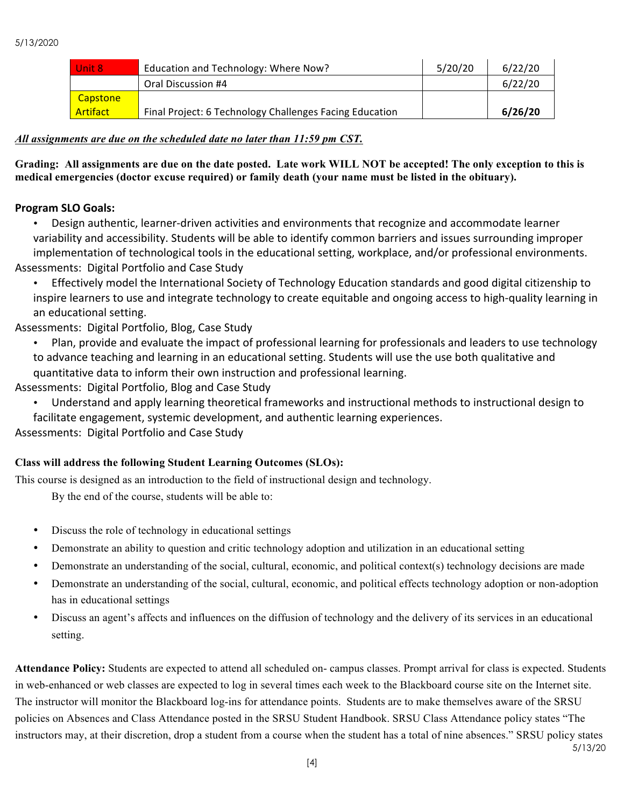| Unit 8          | Education and Technology: Where Now?                    | 5/20/20 | 6/22/20 |
|-----------------|---------------------------------------------------------|---------|---------|
|                 | Oral Discussion #4                                      |         | 6/22/20 |
| <b>Capstone</b> |                                                         |         |         |
| Artifact        | Final Project: 6 Technology Challenges Facing Education |         | 6/26/20 |

### *All assignments are due on the scheduled date no later than 11:59 pm CST.*

**Grading: All assignments are due on the date posted. Late work WILL NOT be accepted! The only exception to this is medical emergencies (doctor excuse required) or family death (your name must be listed in the obituary).** 

### **Program SLO Goals:**

Design authentic, learner-driven activities and environments that recognize and accommodate learner variability and accessibility. Students will be able to identify common barriers and issues surrounding improper implementation of technological tools in the educational setting, workplace, and/or professional environments. Assessments: Digital Portfolio and Case Study

• Effectively model the International Society of Technology Education standards and good digital citizenship to inspire learners to use and integrate technology to create equitable and ongoing access to high-quality learning in an educational setting.

Assessments: Digital Portfolio, Blog, Case Study

• Plan, provide and evaluate the impact of professional learning for professionals and leaders to use technology to advance teaching and learning in an educational setting. Students will use the use both qualitative and quantitative data to inform their own instruction and professional learning.

Assessments: Digital Portfolio, Blog and Case Study

Understand and apply learning theoretical frameworks and instructional methods to instructional design to facilitate engagement, systemic development, and authentic learning experiences.

Assessments: Digital Portfolio and Case Study

### **Class will address the following Student Learning Outcomes (SLOs):**

This course is designed as an introduction to the field of instructional design and technology.

By the end of the course, students will be able to:

- Discuss the role of technology in educational settings
- Demonstrate an ability to question and critic technology adoption and utilization in an educational setting
- Demonstrate an understanding of the social, cultural, economic, and political context(s) technology decisions are made
- Demonstrate an understanding of the social, cultural, economic, and political effects technology adoption or non-adoption has in educational settings
- Discuss an agent's affects and influences on the diffusion of technology and the delivery of its services in an educational setting.

5/13/20 **Attendance Policy:** Students are expected to attend all scheduled on- campus classes. Prompt arrival for class is expected. Students in web-enhanced or web classes are expected to log in several times each week to the Blackboard course site on the Internet site. The instructor will monitor the Blackboard log-ins for attendance points. Students are to make themselves aware of the SRSU policies on Absences and Class Attendance posted in the SRSU Student Handbook. SRSU Class Attendance policy states "The instructors may, at their discretion, drop a student from a course when the student has a total of nine absences." SRSU policy states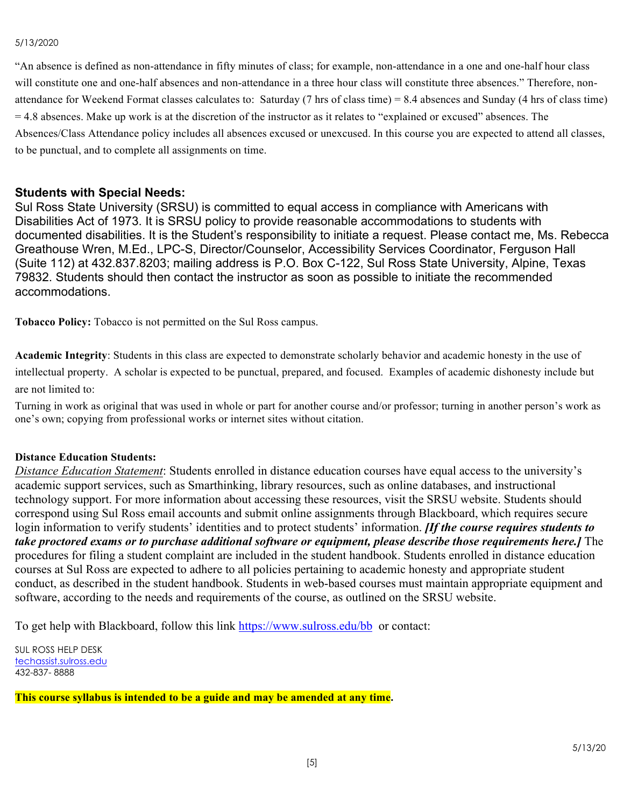#### 5/13/2020

"An absence is defined as non-attendance in fifty minutes of class; for example, non-attendance in a one and one-half hour class will constitute one and one-half absences and non-attendance in a three hour class will constitute three absences." Therefore, nonattendance for Weekend Format classes calculates to: Saturday (7 hrs of class time) = 8.4 absences and Sunday (4 hrs of class time) = 4.8 absences. Make up work is at the discretion of the instructor as it relates to "explained or excused" absences. The Absences/Class Attendance policy includes all absences excused or unexcused. In this course you are expected to attend all classes, to be punctual, and to complete all assignments on time.

#### **Students with Special Needs:**

Sul Ross State University (SRSU) is committed to equal access in compliance with Americans with Disabilities Act of 1973. It is SRSU policy to provide reasonable accommodations to students with documented disabilities. It is the Student's responsibility to initiate a request. Please contact me, Ms. Rebecca Greathouse Wren, M.Ed., LPC-S, Director/Counselor, Accessibility Services Coordinator, Ferguson Hall (Suite 112) at 432.837.8203; mailing address is P.O. Box C-122, Sul Ross State University, Alpine, Texas 79832. Students should then contact the instructor as soon as possible to initiate the recommended accommodations.

**Tobacco Policy:** Tobacco is not permitted on the Sul Ross campus.

**Academic Integrity**: Students in this class are expected to demonstrate scholarly behavior and academic honesty in the use of intellectual property. A scholar is expected to be punctual, prepared, and focused. Examples of academic dishonesty include but are not limited to:

Turning in work as original that was used in whole or part for another course and/or professor; turning in another person's work as one's own; copying from professional works or internet sites without citation.

### **Distance Education Students:**

*Distance Education Statement*: Students enrolled in distance education courses have equal access to the university's academic support services, such as Smarthinking, library resources, such as online databases, and instructional technology support. For more information about accessing these resources, visit the SRSU website. Students should correspond using Sul Ross email accounts and submit online assignments through Blackboard, which requires secure login information to verify students' identities and to protect students' information. *[If the course requires students to take proctored exams or to purchase additional software or equipment, please describe those requirements here.]* The procedures for filing a student complaint are included in the student handbook. Students enrolled in distance education courses at Sul Ross are expected to adhere to all policies pertaining to academic honesty and appropriate student conduct, as described in the student handbook. Students in web-based courses must maintain appropriate equipment and software, according to the needs and requirements of the course, as outlined on the SRSU website.

To get help with Blackboard, follow this link https://www.sulross.edu/bb or contact:

SUL ROSS HELP DESK techassist.sulross.edu 432-837- 8888

**This course syllabus is intended to be a guide and may be amended at any time.**